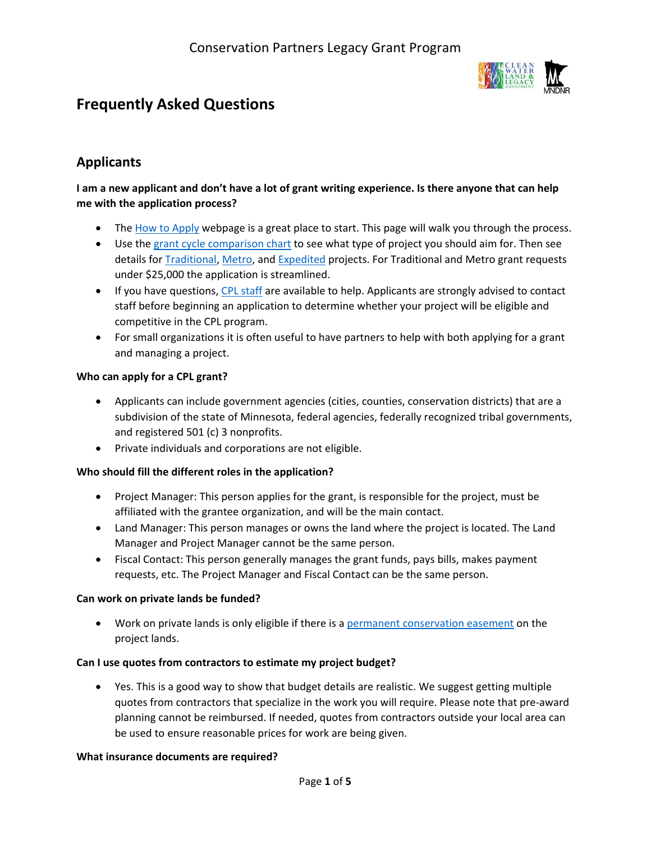# **Frequently Asked Questions**



## **Applicants**

## **I am a new applicant and don't have a lot of grant writing experience. Is there anyone that can help me with the application process?**

- The [How to Apply](http://www.dnr.state.mn.us/grants/habitat/cpl/apply.html) webpage is a great place to start. This page will walk you through the process.
- Use th[e grant cycle comparison chart](http://files.dnr.state.mn.us/assistance/grants/habitat/cpl/cpl-grant-cycle-comparison.pdf) to see what type of project you should aim for. Then see details for [Traditional,](http://www.dnr.state.mn.us/grants/habitat/cpl/ou-grant-cycle.html) [Metro,](http://www.dnr.state.mn.us/grants/habitat/cpl/metro-grant-cycle.html) and [Expedited](http://www.dnr.state.mn.us/grants/habitat/cpl/ecp-grant-cycle.html) projects. For Traditional and Metro grant requests under \$25,000 the application is streamlined.
- If you have questions, [CPL staff](http://www.dnr.state.mn.us/grants/habitat/cpl/contacts.html) are available to help. Applicants are strongly advised to contact staff before beginning an application to determine whether your project will be eligible and competitive in the CPL program.
- For small organizations it is often useful to have partners to help with both applying for a grant and managing a project.

#### **Who can apply for a CPL grant?**

- Applicants can include government agencies (cities, counties, conservation districts) that are a subdivision of the state of Minnesota, federal agencies, federally recognized tribal governments, and registered 501 (c) 3 nonprofits.
- Private individuals and corporations are not eligible.

#### **Who should fill the different roles in the application?**

- Project Manager: This person applies for the grant, is responsible for the project, must be affiliated with the grantee organization, and will be the main contact.
- Land Manager: This person manages or owns the land where the project is located. The Land Manager and Project Manager cannot be the same person.
- Fiscal Contact: This person generally manages the grant funds, pays bills, makes payment requests, etc. The Project Manager and Fiscal Contact can be the same person.

#### **Can work on private lands be funded?**

• Work on private lands is only eligible if there is [a permanent conservation easement](http://www.house.leg.state.mn.us/hrd/pubs/conease.pdf) on the project lands.

#### **Can I use quotes from contractors to estimate my project budget?**

• Yes. This is a good way to show that budget details are realistic. We suggest getting multiple quotes from contractors that specialize in the work you will require. Please note that pre-award planning cannot be reimbursed. If needed, quotes from contractors outside your local area can be used to ensure reasonable prices for work are being given.

#### **What insurance documents are required?**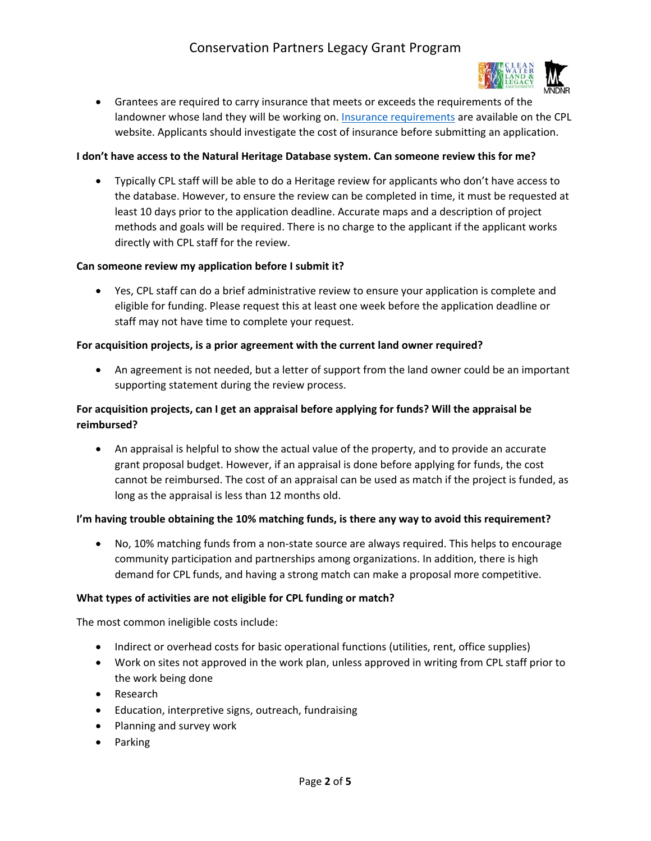

• Grantees are required to carry insurance that meets or exceeds the requirements of the landowner whose land they will be working on. [Insurance requirements](http://files.dnr.state.mn.us/assistance/grants/habitat/cpl/insurance_equirements.pdf) are available on the CPL website. Applicants should investigate the cost of insurance before submitting an application.

#### **I don't have access to the Natural Heritage Database system. Can someone review this for me?**

• Typically CPL staff will be able to do a Heritage review for applicants who don't have access to the database. However, to ensure the review can be completed in time, it must be requested at least 10 days prior to the application deadline. Accurate maps and a description of project methods and goals will be required. There is no charge to the applicant if the applicant works directly with CPL staff for the review.

#### **Can someone review my application before I submit it?**

• Yes, CPL staff can do a brief administrative review to ensure your application is complete and eligible for funding. Please request this at least one week before the application deadline or staff may not have time to complete your request.

#### **For acquisition projects, is a prior agreement with the current land owner required?**

• An agreement is not needed, but a letter of support from the land owner could be an important supporting statement during the review process.

## **For acquisition projects, can I get an appraisal before applying for funds? Will the appraisal be reimbursed?**

• An appraisal is helpful to show the actual value of the property, and to provide an accurate grant proposal budget. However, if an appraisal is done before applying for funds, the cost cannot be reimbursed. The cost of an appraisal can be used as match if the project is funded, as long as the appraisal is less than 12 months old.

#### **I'm having trouble obtaining the 10% matching funds, is there any way to avoid this requirement?**

• No, 10% matching funds from a non-state source are always required. This helps to encourage community participation and partnerships among organizations. In addition, there is high demand for CPL funds, and having a strong match can make a proposal more competitive.

#### **What types of activities are not eligible for CPL funding or match?**

The most common ineligible costs include:

- Indirect or overhead costs for basic operational functions (utilities, rent, office supplies)
- Work on sites not approved in the work plan, unless approved in writing from CPL staff prior to the work being done
- Research
- Education, interpretive signs, outreach, fundraising
- Planning and survey work
- Parking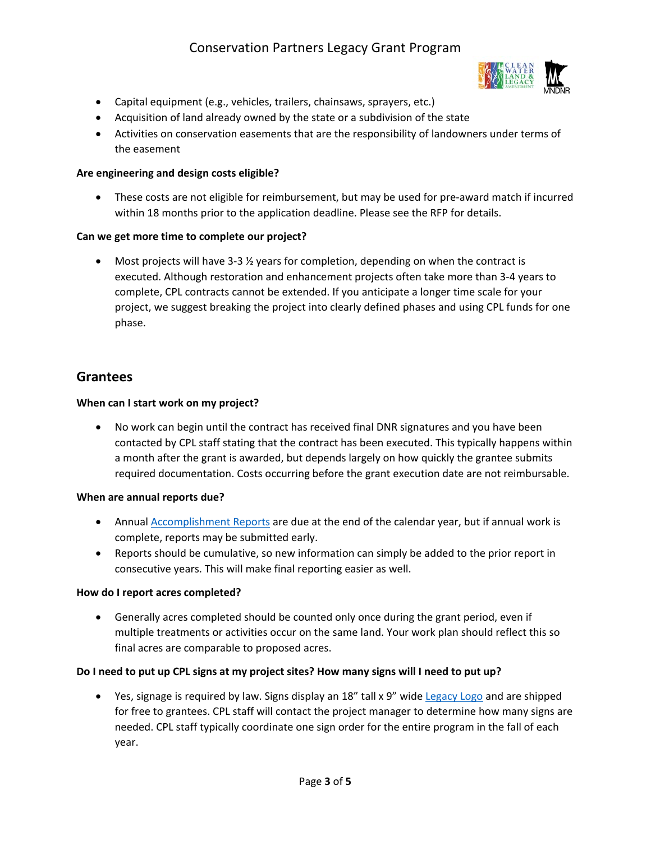

- Capital equipment (e.g., vehicles, trailers, chainsaws, sprayers, etc.)
- Acquisition of land already owned by the state or a subdivision of the state
- Activities on conservation easements that are the responsibility of landowners under terms of the easement

#### **Are engineering and design costs eligible?**

• These costs are not eligible for reimbursement, but may be used for pre-award match if incurred within 18 months prior to the application deadline. Please see the RFP for details.

#### **Can we get more time to complete our project?**

• Most projects will have 3-3  $\frac{1}{2}$  years for completion, depending on when the contract is executed. Although restoration and enhancement projects often take more than 3-4 years to complete, CPL contracts cannot be extended. If you anticipate a longer time scale for your project, we suggest breaking the project into clearly defined phases and using CPL funds for one phase.

## **Grantees**

#### **When can I start work on my project?**

• No work can begin until the contract has received final DNR signatures and you have been contacted by CPL staff stating that the contract has been executed. This typically happens within a month after the grant is awarded, but depends largely on how quickly the grantee submits required documentation. Costs occurring before the grant execution date are not reimbursable.

#### **When are annual reports due?**

- Annual **Accomplishment Reports** are due at the end of the calendar year, but if annual work is complete, reports may be submitted early.
- Reports should be cumulative, so new information can simply be added to the prior report in consecutive years. This will make final reporting easier as well.

#### **How do I report acres completed?**

• Generally acres completed should be counted only once during the grant period, even if multiple treatments or activities occur on the same land. Your work plan should reflect this so final acres are comparable to proposed acres.

#### **Do I need to put up CPL signs at my project sites? How many signs will I need to put up?**

• Yes, signage is required by law. Signs display an 18" tall x 9" wide [Legacy Logo](http://www.legacy.leg.mn/legacy-logo) and are shipped for free to grantees. CPL staff will contact the project manager to determine how many signs are needed. CPL staff typically coordinate one sign order for the entire program in the fall of each year.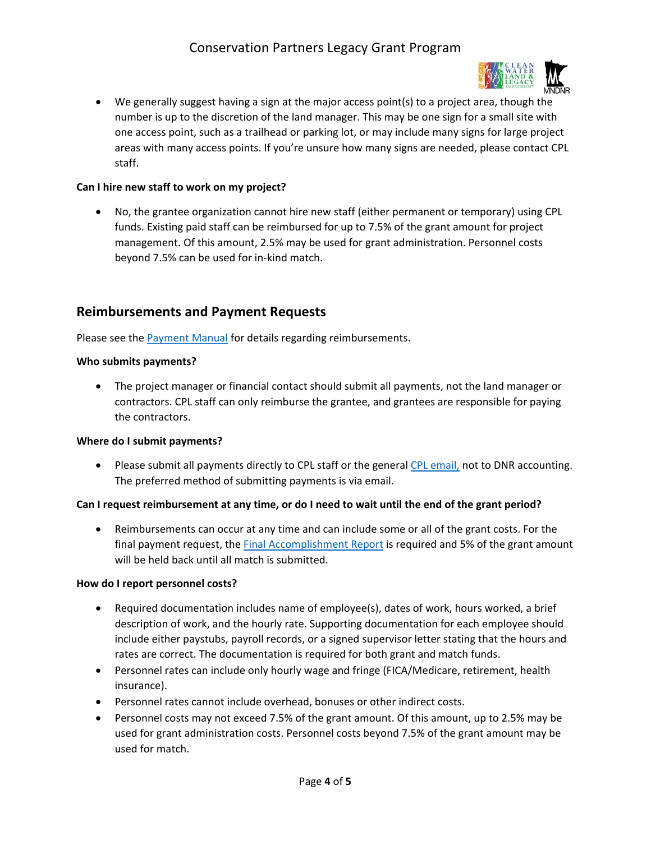

• We generally suggest having a sign at the major access point(s) to a project area, though the number is up to the discretion of the land manager. This may be one sign for a small site with one access point, such as a trailhead or parking lot, or may include many signs for large project areas with many access points. If you're unsure how many signs are needed, please contact CPL staff.

#### **Can I hire new staff to work on my project?**

• No, the grantee organization cannot hire new staff (either permanent or temporary) using CPL funds. Existing paid staff can be reimbursed for up to 7.5% of the grant amount for project management. Of this amount, 2.5% may be used for grant administration. Personnel costs beyond 7.5% can be used for in-kind match.

## **Reimbursements and Payment Requests**

Please see the **Payment Manual** for details regarding reimbursements.

#### **Who submits payments?**

• The project manager or financial contact should submit all payments, not the land manager or contractors. CPL staff can only reimburse the grantee, and grantees are responsible for paying the contractors.

#### **Where do I submit payments?**

• Please submit all payments directly to CPL staff or the general [CPL email,](mailto:LSCPLGrants.DNR@state.mn.us) not to DNR accounting. The preferred method of submitting payments is via email.

#### **Can I request reimbursement at any time, or do I need to wait until the end of the grant period?**

• Reimbursements can occur at any time and can include some or all of the grant costs. For the final payment request, the [Final Accomplishment Report](http://files.dnr.state.mn.us/assistance/grants/habitat/lessard_sams/grantee/accomplishment_form.pdf) is required and 5% of the grant amount will be held back until all match is submitted.

#### **How do I report personnel costs?**

- Required documentation includes name of employee(s), dates of work, hours worked, a brief description of work, and the hourly rate. Supporting documentation for each employee should include either paystubs, payroll records, or a signed supervisor letter stating that the hours and rates are correct. The documentation is required for both grant and match funds.
- Personnel rates can include only hourly wage and fringe (FICA/Medicare, retirement, health insurance).
- Personnel rates cannot include overhead, bonuses or other indirect costs.
- Personnel costs may not exceed 7.5% of the grant amount. Of this amount, up to 2.5% may be used for grant administration costs. Personnel costs beyond 7.5% of the grant amount may be used for match.